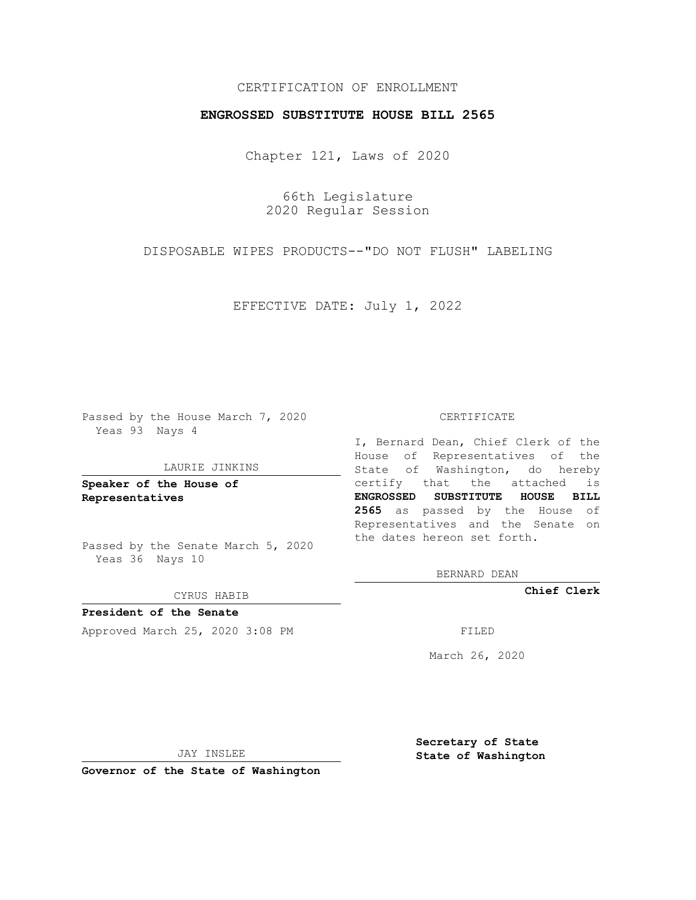## CERTIFICATION OF ENROLLMENT

## **ENGROSSED SUBSTITUTE HOUSE BILL 2565**

Chapter 121, Laws of 2020

66th Legislature 2020 Regular Session

DISPOSABLE WIPES PRODUCTS--"DO NOT FLUSH" LABELING

EFFECTIVE DATE: July 1, 2022

Passed by the House March 7, 2020 Yeas 93 Nays 4

#### LAURIE JINKINS

**Speaker of the House of Representatives**

Passed by the Senate March 5, 2020 Yeas 36 Nays 10

CYRUS HABIB

**President of the Senate** Approved March 25, 2020 3:08 PM

#### CERTIFICATE

I, Bernard Dean, Chief Clerk of the House of Representatives of the State of Washington, do hereby certify that the attached is **ENGROSSED SUBSTITUTE HOUSE BILL 2565** as passed by the House of Representatives and the Senate on the dates hereon set forth.

BERNARD DEAN

**Chief Clerk**

March 26, 2020

JAY INSLEE

**Governor of the State of Washington**

**Secretary of State State of Washington**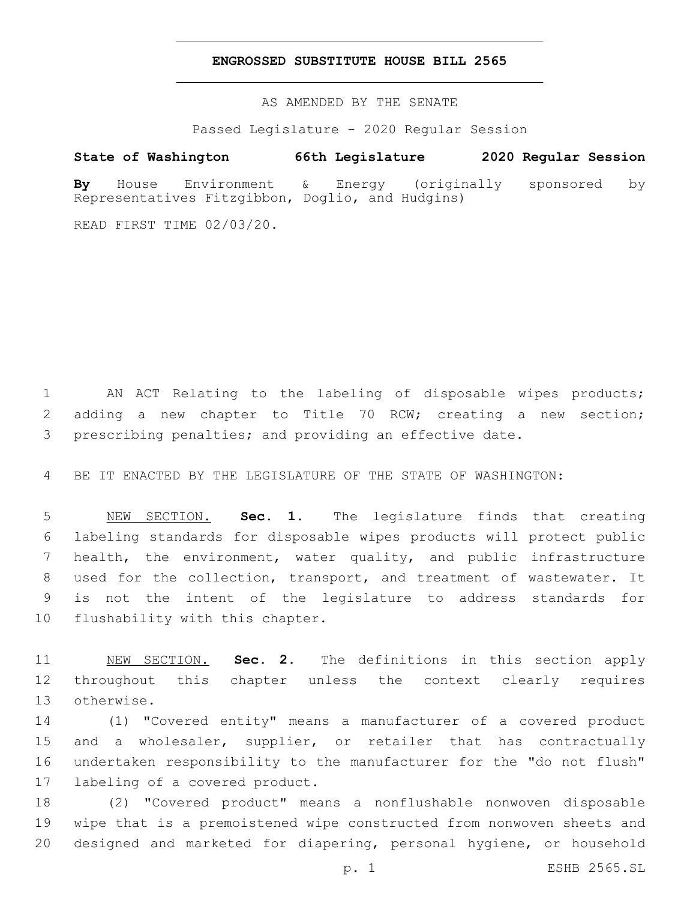### **ENGROSSED SUBSTITUTE HOUSE BILL 2565**

AS AMENDED BY THE SENATE

Passed Legislature - 2020 Regular Session

# **State of Washington 66th Legislature 2020 Regular Session**

**By** House Environment & Energy (originally sponsored by Representatives Fitzgibbon, Doglio, and Hudgins)

READ FIRST TIME 02/03/20.

 AN ACT Relating to the labeling of disposable wipes products; adding a new chapter to Title 70 RCW; creating a new section; prescribing penalties; and providing an effective date.

BE IT ENACTED BY THE LEGISLATURE OF THE STATE OF WASHINGTON:

 NEW SECTION. **Sec. 1.** The legislature finds that creating labeling standards for disposable wipes products will protect public health, the environment, water quality, and public infrastructure used for the collection, transport, and treatment of wastewater. It is not the intent of the legislature to address standards for flushability with this chapter.

 NEW SECTION. **Sec. 2.** The definitions in this section apply throughout this chapter unless the context clearly requires otherwise.

 (1) "Covered entity" means a manufacturer of a covered product and a wholesaler, supplier, or retailer that has contractually undertaken responsibility to the manufacturer for the "do not flush" 17 labeling of a covered product.

 (2) "Covered product" means a nonflushable nonwoven disposable wipe that is a premoistened wipe constructed from nonwoven sheets and designed and marketed for diapering, personal hygiene, or household

p. 1 ESHB 2565.SL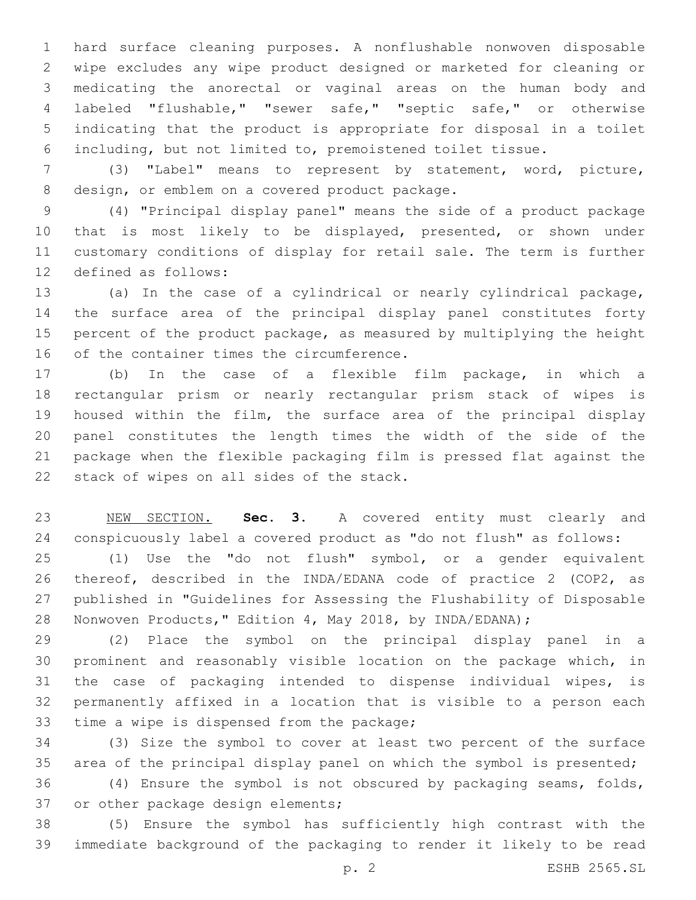hard surface cleaning purposes. A nonflushable nonwoven disposable wipe excludes any wipe product designed or marketed for cleaning or medicating the anorectal or vaginal areas on the human body and labeled "flushable," "sewer safe," "septic safe," or otherwise indicating that the product is appropriate for disposal in a toilet including, but not limited to, premoistened toilet tissue.

 (3) "Label" means to represent by statement, word, picture, 8 design, or emblem on a covered product package.

 (4) "Principal display panel" means the side of a product package that is most likely to be displayed, presented, or shown under customary conditions of display for retail sale. The term is further 12 defined as follows:

 (a) In the case of a cylindrical or nearly cylindrical package, the surface area of the principal display panel constitutes forty percent of the product package, as measured by multiplying the height 16 of the container times the circumference.

 (b) In the case of a flexible film package, in which a rectangular prism or nearly rectangular prism stack of wipes is housed within the film, the surface area of the principal display panel constitutes the length times the width of the side of the package when the flexible packaging film is pressed flat against the 22 stack of wipes on all sides of the stack.

 NEW SECTION. **Sec. 3.** A covered entity must clearly and conspicuously label a covered product as "do not flush" as follows:

 (1) Use the "do not flush" symbol, or a gender equivalent thereof, described in the INDA/EDANA code of practice 2 (COP2, as published in "Guidelines for Assessing the Flushability of Disposable Nonwoven Products," Edition 4, May 2018, by INDA/EDANA);

 (2) Place the symbol on the principal display panel in a prominent and reasonably visible location on the package which, in the case of packaging intended to dispense individual wipes, is permanently affixed in a location that is visible to a person each 33 time a wipe is dispensed from the package;

 (3) Size the symbol to cover at least two percent of the surface area of the principal display panel on which the symbol is presented;

 (4) Ensure the symbol is not obscured by packaging seams, folds, 37 or other package design elements;

 (5) Ensure the symbol has sufficiently high contrast with the immediate background of the packaging to render it likely to be read

p. 2 ESHB 2565.SL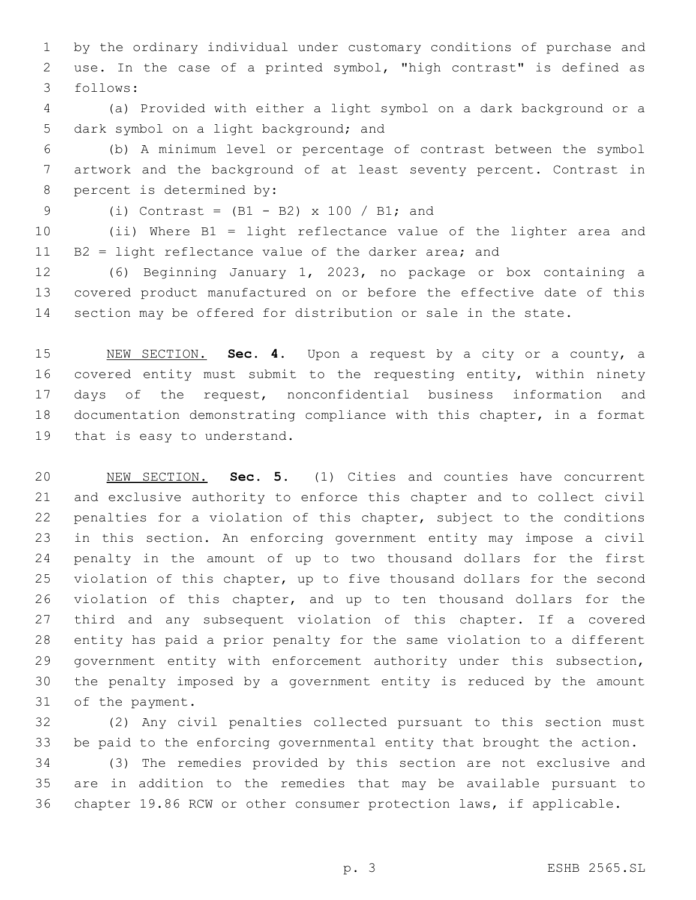by the ordinary individual under customary conditions of purchase and use. In the case of a printed symbol, "high contrast" is defined as follows:3

 (a) Provided with either a light symbol on a dark background or a 5 dark symbol on a light background; and

 (b) A minimum level or percentage of contrast between the symbol artwork and the background of at least seventy percent. Contrast in 8 percent is determined by:

9 (i) Contrast =  $(B1 - B2)$  x 100 / B1; and

 (ii) Where B1 = light reflectance value of the lighter area and B2 = light reflectance value of the darker area; and

 (6) Beginning January 1, 2023, no package or box containing a covered product manufactured on or before the effective date of this section may be offered for distribution or sale in the state.

 NEW SECTION. **Sec. 4.** Upon a request by a city or a county, a covered entity must submit to the requesting entity, within ninety days of the request, nonconfidential business information and documentation demonstrating compliance with this chapter, in a format that is easy to understand.

 NEW SECTION. **Sec. 5.** (1) Cities and counties have concurrent and exclusive authority to enforce this chapter and to collect civil penalties for a violation of this chapter, subject to the conditions in this section. An enforcing government entity may impose a civil penalty in the amount of up to two thousand dollars for the first violation of this chapter, up to five thousand dollars for the second 26 violation of this chapter, and up to ten thousand dollars for the third and any subsequent violation of this chapter. If a covered entity has paid a prior penalty for the same violation to a different government entity with enforcement authority under this subsection, the penalty imposed by a government entity is reduced by the amount of the payment.

 (2) Any civil penalties collected pursuant to this section must be paid to the enforcing governmental entity that brought the action.

 (3) The remedies provided by this section are not exclusive and are in addition to the remedies that may be available pursuant to chapter 19.86 RCW or other consumer protection laws, if applicable.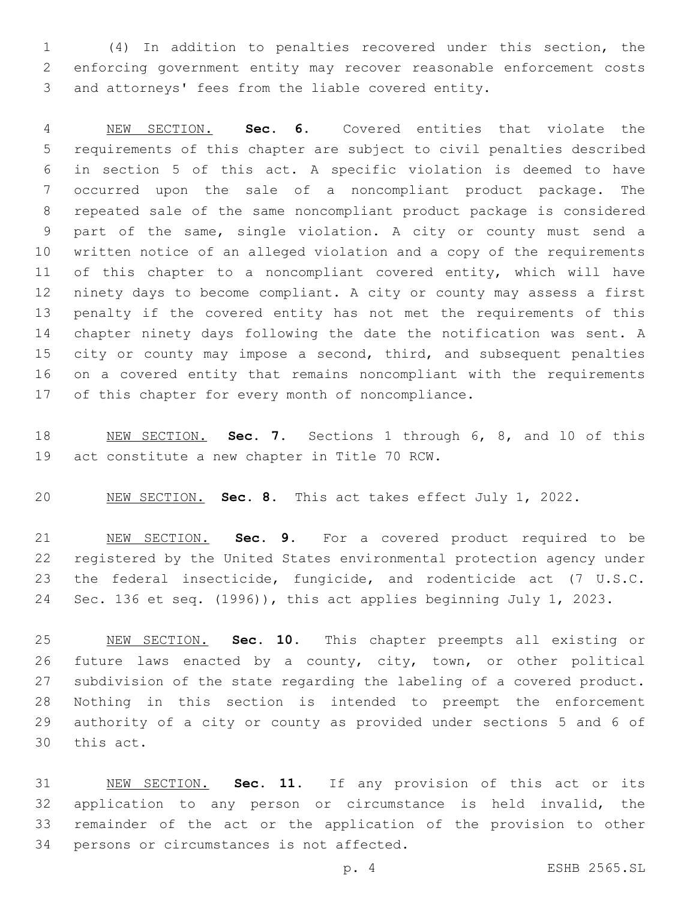(4) In addition to penalties recovered under this section, the enforcing government entity may recover reasonable enforcement costs and attorneys' fees from the liable covered entity.

 NEW SECTION. **Sec. 6.** Covered entities that violate the requirements of this chapter are subject to civil penalties described in section 5 of this act. A specific violation is deemed to have occurred upon the sale of a noncompliant product package. The repeated sale of the same noncompliant product package is considered part of the same, single violation. A city or county must send a written notice of an alleged violation and a copy of the requirements 11 of this chapter to a noncompliant covered entity, which will have ninety days to become compliant. A city or county may assess a first penalty if the covered entity has not met the requirements of this chapter ninety days following the date the notification was sent. A city or county may impose a second, third, and subsequent penalties on a covered entity that remains noncompliant with the requirements of this chapter for every month of noncompliance.

 NEW SECTION. **Sec. 7.** Sections 1 through 6, 8, and l0 of this act constitute a new chapter in Title 70 RCW.

NEW SECTION. **Sec. 8.** This act takes effect July 1, 2022.

 NEW SECTION. **Sec. 9.** For a covered product required to be registered by the United States environmental protection agency under the federal insecticide, fungicide, and rodenticide act (7 U.S.C. Sec. 136 et seq. (1996)), this act applies beginning July 1, 2023.

 NEW SECTION. **Sec. 10.** This chapter preempts all existing or future laws enacted by a county, city, town, or other political subdivision of the state regarding the labeling of a covered product. Nothing in this section is intended to preempt the enforcement authority of a city or county as provided under sections 5 and 6 of this act.

 NEW SECTION. **Sec. 11.** If any provision of this act or its application to any person or circumstance is held invalid, the remainder of the act or the application of the provision to other persons or circumstances is not affected.